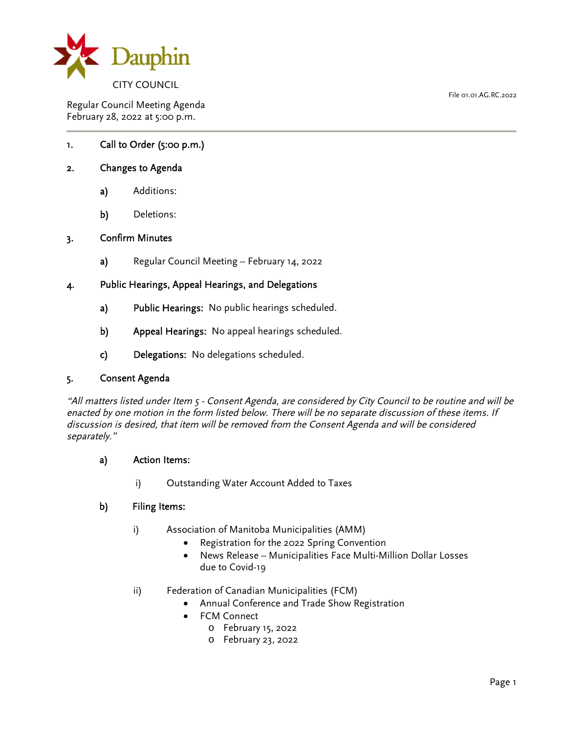

Regular Council Meeting Agenda February 28, 2022 at 5:00 p.m.

# 1. Call to Order (5:00 p.m.)

### 2. Changes to Agenda

- a) Additions:
- b) Deletions:

### 3. Confirm Minutes

a) Regular Council Meeting – February 14, 2022

### 4. Public Hearings, Appeal Hearings, and Delegations

- a) Public Hearings: No public hearings scheduled.
- b) Appeal Hearings: No appeal hearings scheduled.
- c) Delegations: No delegations scheduled.

### 5. Consent Agenda

"All matters listed under Item 5 - Consent Agenda, are considered by City Council to be routine and will be enacted by one motion in the form listed below. There will be no separate discussion of these items. If discussion is desired, that item will be removed from the Consent Agenda and will be considered separately."

### a) Action Items:

i) Outstanding Water Account Added to Taxes

### b) Filing Items:

- i) Association of Manitoba Municipalities (AMM)
	- Registration for the 2022 Spring Convention
	- News Release Municipalities Face Multi-Million Dollar Losses due to Covid-19
- ii) Federation of Canadian Municipalities (FCM)
	- Annual Conference and Trade Show Registration
	- FCM Connect
		- o February 15, 2022
		- o February 23, 2022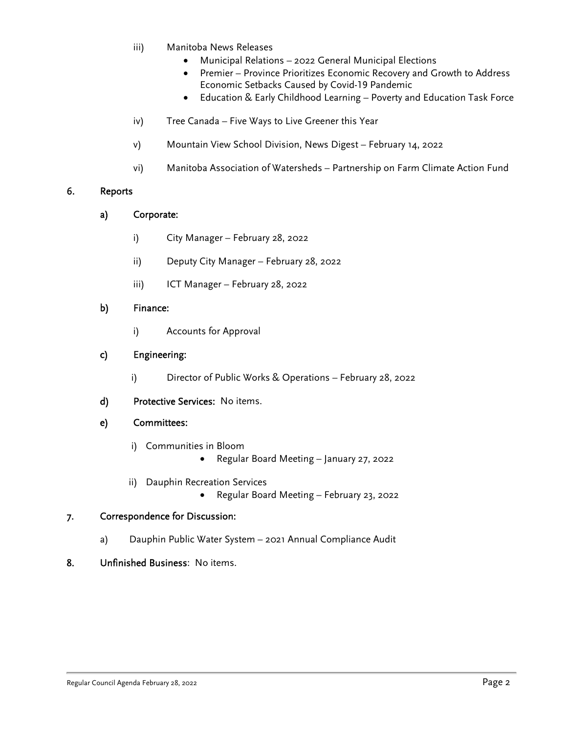- iii) Manitoba News Releases
	- Municipal Relations 2022 General Municipal Elections
	- Premier Province Prioritizes Economic Recovery and Growth to Address Economic Setbacks Caused by Covid-19 Pandemic
	- Education & Early Childhood Learning Poverty and Education Task Force
- iv) Tree Canada Five Ways to Live Greener this Year
- v) Mountain View School Division, News Digest February 14, 2022
- vi) Manitoba Association of Watersheds Partnership on Farm Climate Action Fund

# 6. Reports

- a) Corporate:
	- i) City Manager February 28, 2022
	- ii) Deputy City Manager February 28, 2022
	- iii) ICT Manager February 28, 2022

### b) Finance:

i) Accounts for Approval

### c) Engineering:

- i) Director of Public Works & Operations February 28, 2022
- d) Protective Services: No items.

### e) Committees:

- i) Communities in Bloom
	- Regular Board Meeting January 27, 2022
- ii) Dauphin Recreation Services
	- Regular Board Meeting February 23, 2022

# 7. Correspondence for Discussion:

a) Dauphin Public Water System – 2021 Annual Compliance Audit

# 8. Unfinished Business: No items.